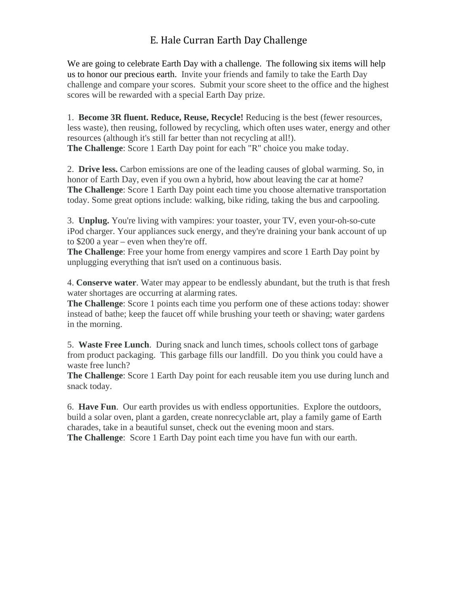# E. Hale Curran Earth Day Challenge

 challenge and compare your scores. Submit your score sheet to the office and the highest We are going to celebrate Earth Day with a challenge. The following six items will help us to honor our precious earth. Invite your friends and family to take the Earth Day scores will be rewarded with a special Earth Day prize.

1. **Become 3R fluent. Reduce, Reuse, Recycle!** Reducing is the best (fewer resources, less waste), then reusing, followed by recycling, which often uses water, energy and other resources (although it's still far better than not recycling at all!). **The Challenge:** Score 1 Earth Day point for each "R" choice you make today.

2. **Drive less.** Carbon emissions are one of the leading causes of global warming. So, in honor of Earth Day, even if you own a hybrid, how about leaving the car at home? **The Challenge:** Score 1 Earth Day point each time you choose alternative transportation today. Some great options include: walking, bike riding, taking the bus and carpooling.

 to \$200 a year – even when they're off. 3. **Unplug.** You're living with vampires: your toaster, your TV, even your-oh-so-cute iPod charger. Your appliances suck energy, and they're draining your bank account of up

**The Challenge**: Free your home from energy vampires and score 1 Earth Day point by unplugging everything that isn't used on a continuous basis.

4. **Conserve water**. Water may appear to be endlessly abundant, but the truth is that fresh water shortages are occurring at alarming rates.

 **The Challenge**: Score 1 points each time you perform one of these actions today: shower instead of bathe; keep the faucet off while brushing your teeth or shaving; water gardens in the morning.

 5. **Waste Free Lunch**. During snack and lunch times, schools collect tons of garbage from product packaging. This garbage fills our landfill. Do you think you could have a waste free lunch?

**The Challenge**: Score 1 Earth Day point for each reusable item you use during lunch and snack today.

6. **Have Fun**. Our earth provides us with endless opportunities. Explore the outdoors, build a solar oven, plant a garden, create nonrecyclable art, play a family game of Earth charades, take in a beautiful sunset, check out the evening moon and stars.

**The Challenge**: Score 1 Earth Day point each time you have fun with our earth.